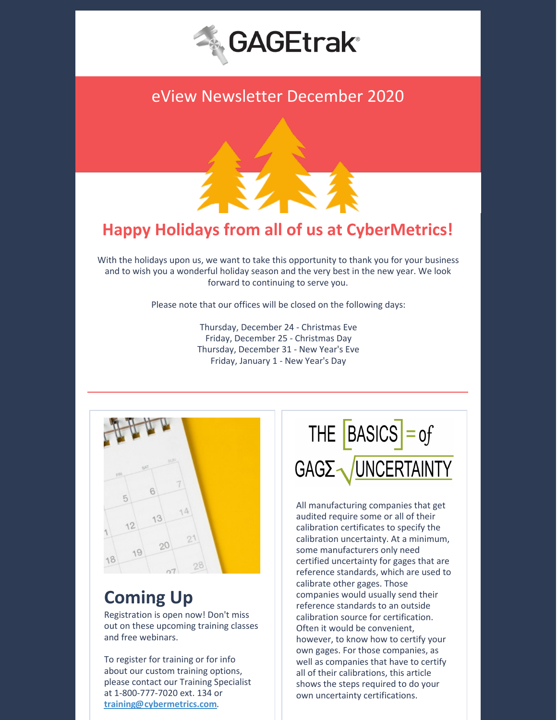

# eView Newsletter December 2020



# **Happy Holidays from all of us at CyberMetrics!**

With the holidays upon us, we want to take this opportunity to thank you for your business and to wish you a wonderful holiday season and the very best in the new year. We look forward to continuing to serve you.

Please note that our offices will be closed on the following days:

Thursday, December 24 - Christmas Eve Friday, December 25 - Christmas Day Thursday, December 31 - New Year's Eve Friday, January 1 - New Year's Day



# **Coming Up**

Registration is open now! Don't miss out on these upcoming training classes and free webinars.

To register for training or for info about our custom training options, please contact our Training Specialist at 1-800-777-7020 ext. 134 or **[training@cybermetrics.com](mailto:training@cybermetrics.com)**.

THE  $\overline{[BASICS]} = of$ GAGE VINCERTAINTY

All manufacturing companies that get audited require some or all of their calibration certificates to specify the calibration uncertainty. At a minimum, some manufacturers only need certified uncertainty for gages that are reference standards, which are used to calibrate other gages. Those companies would usually send their reference standards to an outside calibration source for certification. Often it would be convenient, however, to know how to certify your own gages. For those companies, as well as companies that have to certify all of their calibrations, this article shows the steps required to do your own uncertainty certifications.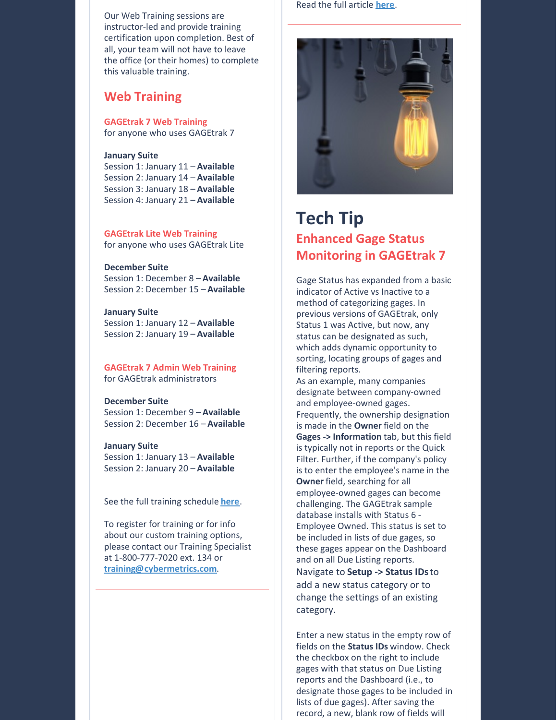Our Web Training sessions are instructor-led and provide training certification upon completion. Best of all, your team will not have to leave the office (or their homes) to complete this valuable training.

### **Web Training**

**GAGEtrak 7 Web Training** for anyone who uses GAGEtrak 7

#### **January Suite**

Session 1: January 11 – **Available** Session 2: January 14 – **Available** Session 3: January 18 – **Available** Session 4: January 21 – **Available**

**GAGEtrak Lite Web Training** for anyone who uses GAGEtrak Lite

**December Suite** Session 1: December 8 – **Available** Session 2: December 15 – **Available**

**January Suite** Session 1: January 12 – **Available** Session 2: January 19 – **Available**

**GAGEtrak 7 Admin Web Training** for GAGEtrak administrators

**December Suite** Session 1: December 9 – **Available** Session 2: December 16 – **Available**

#### **January Suite**

Session 1: January 13 – **Available** Session 2: January 20 – **Available**

See the full training schedule **[here](https://gagetrak.com/training-schedule/)**.

To register for training or for info about our custom training options, please contact our Training Specialist at 1-800-777-7020 ext. 134 or **[training@cybermetrics.com](mailto:training@cybermetrics.com)**.

Read the full article **[here](https://gagetrak.com/the-basics-of-gage-uncertainty/)**.



## **Tech Tip Enhanced Gage Status Monitoring in GAGEtrak 7**

Gage Status has expanded from a basic indicator of Active vs Inactive to a method of categorizing gages. In previous versions of GAGEtrak, only Status 1 was Active, but now, any status can be designated as such, which adds dynamic opportunity to sorting, locating groups of gages and filtering reports.

As an example, many companies designate between company-owned and employee-owned gages. Frequently, the ownership designation is made in the **Owner** field on the **Gages -> Information** tab, but this field is typically not in reports or the Quick Filter. Further, if the company's policy is to enter the employee's name in the **Owner** field, searching for all employee-owned gages can become challenging. The GAGEtrak sample database installs with Status 6 - Employee Owned. This status is set to be included in lists of due gages, so these gages appear on the Dashboard and on all Due Listing reports. Navigate to **Setup -> Status IDs**to add a new status category or to change the settings of an existing category.

Enter a new status in the empty row of fields on the **Status IDs** window. Check the checkbox on the right to include gages with that status on Due Listing reports and the Dashboard (i.e., to designate those gages to be included in lists of due gages). After saving the record, a new, blank row of fields will